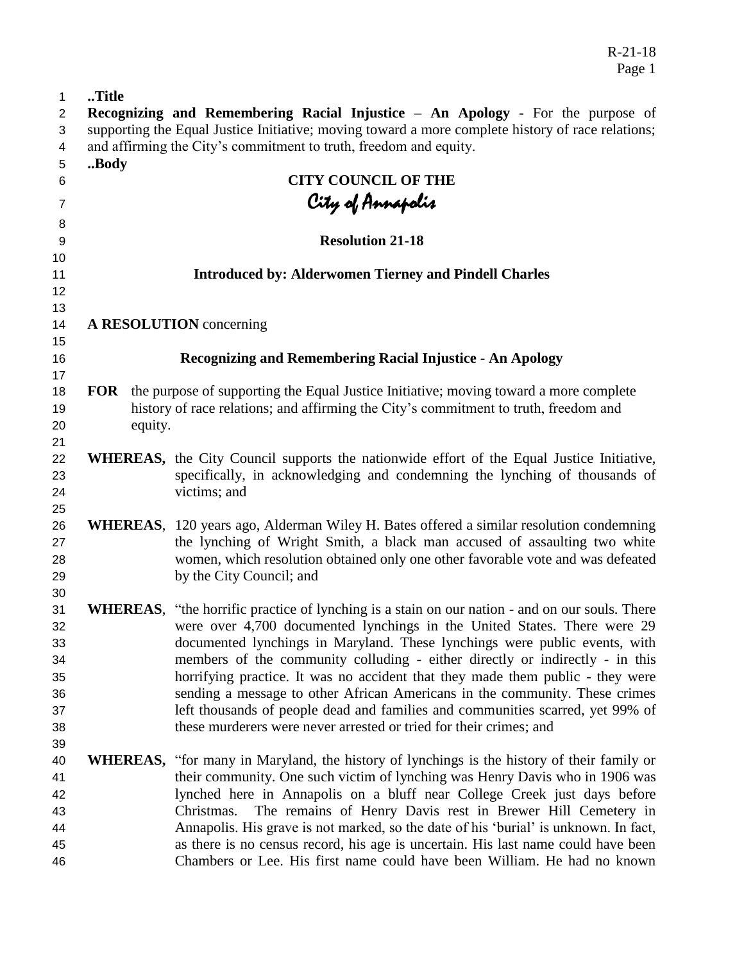| $\mathbf{1}$ | Title                                                                                             |         |                                                                                                                                                                                                                                                                                                                       |  |
|--------------|---------------------------------------------------------------------------------------------------|---------|-----------------------------------------------------------------------------------------------------------------------------------------------------------------------------------------------------------------------------------------------------------------------------------------------------------------------|--|
| $\mathbf{2}$ | Recognizing and Remembering Racial Injustice - An Apology - For the purpose of                    |         |                                                                                                                                                                                                                                                                                                                       |  |
| 3            | supporting the Equal Justice Initiative; moving toward a more complete history of race relations; |         |                                                                                                                                                                                                                                                                                                                       |  |
| 4            |                                                                                                   |         | and affirming the City's commitment to truth, freedom and equity.                                                                                                                                                                                                                                                     |  |
| 5            | Body                                                                                              |         |                                                                                                                                                                                                                                                                                                                       |  |
| 6            |                                                                                                   |         | <b>CITY COUNCIL OF THE</b>                                                                                                                                                                                                                                                                                            |  |
| 7            |                                                                                                   |         | City of Annapolis                                                                                                                                                                                                                                                                                                     |  |
|              |                                                                                                   |         |                                                                                                                                                                                                                                                                                                                       |  |
| 8<br>9       |                                                                                                   |         | <b>Resolution 21-18</b>                                                                                                                                                                                                                                                                                               |  |
| 10           |                                                                                                   |         |                                                                                                                                                                                                                                                                                                                       |  |
| 11           | <b>Introduced by: Alderwomen Tierney and Pindell Charles</b>                                      |         |                                                                                                                                                                                                                                                                                                                       |  |
| 12           |                                                                                                   |         |                                                                                                                                                                                                                                                                                                                       |  |
| 13           |                                                                                                   |         |                                                                                                                                                                                                                                                                                                                       |  |
| 14           |                                                                                                   |         | A RESOLUTION concerning                                                                                                                                                                                                                                                                                               |  |
| 15           |                                                                                                   |         |                                                                                                                                                                                                                                                                                                                       |  |
| 16           |                                                                                                   |         | <b>Recognizing and Remembering Racial Injustice - An Apology</b>                                                                                                                                                                                                                                                      |  |
| 17           |                                                                                                   |         |                                                                                                                                                                                                                                                                                                                       |  |
| 18           | <b>FOR</b>                                                                                        |         | the purpose of supporting the Equal Justice Initiative; moving toward a more complete                                                                                                                                                                                                                                 |  |
| 19           |                                                                                                   |         | history of race relations; and affirming the City's commitment to truth, freedom and                                                                                                                                                                                                                                  |  |
| 20           |                                                                                                   | equity. |                                                                                                                                                                                                                                                                                                                       |  |
| 21           |                                                                                                   |         |                                                                                                                                                                                                                                                                                                                       |  |
| 22           |                                                                                                   |         | <b>WHEREAS</b> , the City Council supports the nationwide effort of the Equal Justice Initiative,                                                                                                                                                                                                                     |  |
| 23           |                                                                                                   |         | specifically, in acknowledging and condemning the lynching of thousands of                                                                                                                                                                                                                                            |  |
| 24           |                                                                                                   |         | victims; and                                                                                                                                                                                                                                                                                                          |  |
| 25           |                                                                                                   |         |                                                                                                                                                                                                                                                                                                                       |  |
| 26           |                                                                                                   |         | <b>WHEREAS</b> , 120 years ago, Alderman Wiley H. Bates offered a similar resolution condemning                                                                                                                                                                                                                       |  |
| 27           |                                                                                                   |         | the lynching of Wright Smith, a black man accused of assaulting two white                                                                                                                                                                                                                                             |  |
| 28           |                                                                                                   |         | women, which resolution obtained only one other favorable vote and was defeated                                                                                                                                                                                                                                       |  |
| 29           |                                                                                                   |         | by the City Council; and                                                                                                                                                                                                                                                                                              |  |
| 30           |                                                                                                   |         |                                                                                                                                                                                                                                                                                                                       |  |
| 31           |                                                                                                   |         | <b>WHEREAS</b> , "the horrific practice of lynching is a stain on our nation - and on our souls. There                                                                                                                                                                                                                |  |
| 32           |                                                                                                   |         | were over 4,700 documented lynchings in the United States. There were 29                                                                                                                                                                                                                                              |  |
| 33           |                                                                                                   |         | documented lynchings in Maryland. These lynchings were public events, with                                                                                                                                                                                                                                            |  |
| 34           |                                                                                                   |         | members of the community colluding - either directly or indirectly - in this                                                                                                                                                                                                                                          |  |
| 35           |                                                                                                   |         | horrifying practice. It was no accident that they made them public - they were<br>sending a message to other African Americans in the community. These crimes<br>left thousands of people dead and families and communities scarred, yet 99% of<br>these murderers were never arrested or tried for their crimes; and |  |
| 36           |                                                                                                   |         |                                                                                                                                                                                                                                                                                                                       |  |
| 37           |                                                                                                   |         |                                                                                                                                                                                                                                                                                                                       |  |
| 38           |                                                                                                   |         |                                                                                                                                                                                                                                                                                                                       |  |
| 39           |                                                                                                   |         |                                                                                                                                                                                                                                                                                                                       |  |
|              |                                                                                                   |         | <b>WHEREAS,</b> "for many in Maryland, the history of lynchings is the history of their family or                                                                                                                                                                                                                     |  |
| 40           |                                                                                                   |         | their community. One such victim of lynching was Henry Davis who in 1906 was                                                                                                                                                                                                                                          |  |
| 41           |                                                                                                   |         | lynched here in Annapolis on a bluff near College Creek just days before                                                                                                                                                                                                                                              |  |
| 42<br>43     |                                                                                                   |         | Christmas.                                                                                                                                                                                                                                                                                                            |  |
|              |                                                                                                   |         | The remains of Henry Davis rest in Brewer Hill Cemetery in<br>Annapolis. His grave is not marked, so the date of his 'burial' is unknown. In fact,                                                                                                                                                                    |  |
| 44           |                                                                                                   |         |                                                                                                                                                                                                                                                                                                                       |  |
| 45           |                                                                                                   |         | as there is no census record, his age is uncertain. His last name could have been                                                                                                                                                                                                                                     |  |
| 46           |                                                                                                   |         | Chambers or Lee. His first name could have been William. He had no known                                                                                                                                                                                                                                              |  |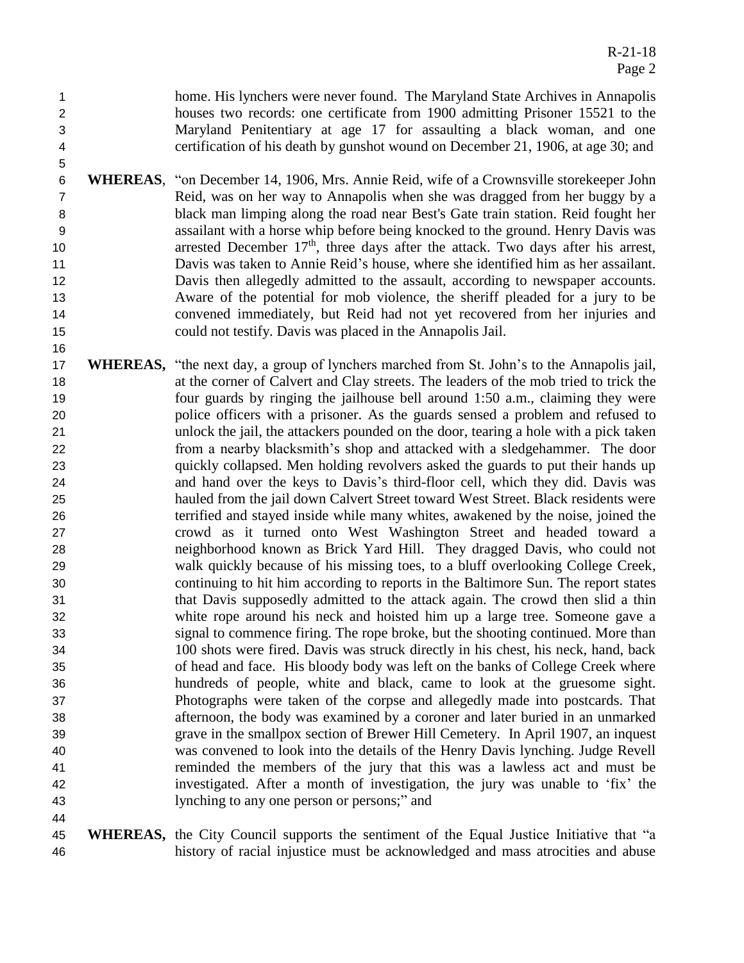home. His lynchers were never found. The Maryland State Archives in Annapolis houses two records: one certificate from 1900 admitting Prisoner 15521 to the Maryland Penitentiary at age 17 for assaulting a black woman, and one certification of his death by gunshot wound on December 21, 1906, at age 30; and

- **WHEREAS**, "on December 14, 1906, Mrs. Annie Reid, wife of a Crownsville storekeeper John Reid, was on her way to Annapolis when she was dragged from her buggy by a black man limping along the road near Best's Gate train station. Reid fought her assailant with a horse whip before being knocked to the ground. Henry Davis was 10 arrested December  $17<sup>th</sup>$ , three days after the attack. Two days after his arrest, Davis was taken to Annie Reid's house, where she identified him as her assailant. Davis then allegedly admitted to the assault, according to newspaper accounts. Aware of the potential for mob violence, the sheriff pleaded for a jury to be convened immediately, but Reid had not yet recovered from her injuries and could not testify. Davis was placed in the Annapolis Jail.
- **WHEREAS,** "the next day, a group of lynchers marched from St. John's to the Annapolis jail, at the corner of Calvert and Clay streets. The leaders of the mob tried to trick the four guards by ringing the jailhouse bell around 1:50 a.m., claiming they were police officers with a prisoner. As the guards sensed a problem and refused to unlock the jail, the attackers pounded on the door, tearing a hole with a pick taken from a nearby blacksmith's shop and attacked with a sledgehammer. The door quickly collapsed. Men holding revolvers asked the guards to put their hands up and hand over the keys to Davis's third-floor cell, which they did. Davis was hauled from the jail down Calvert Street toward West Street. Black residents were terrified and stayed inside while many whites, awakened by the noise, joined the crowd as it turned onto West Washington Street and headed toward a neighborhood known as Brick Yard Hill. They dragged Davis, who could not walk quickly because of his missing toes, to a bluff overlooking College Creek, continuing to hit him according to reports in the Baltimore Sun. The report states that Davis supposedly admitted to the attack again. The crowd then slid a thin white rope around his neck and hoisted him up a large tree. Someone gave a signal to commence firing. The rope broke, but the shooting continued. More than 100 shots were fired. Davis was struck directly in his chest, his neck, hand, back of head and face. His bloody body was left on the banks of College Creek where hundreds of people, white and black, came to look at the gruesome sight. Photographs were taken of the corpse and allegedly made into postcards. That afternoon, the body was examined by a coroner and later buried in an unmarked grave in the smallpox section of Brewer Hill Cemetery. In April 1907, an inquest was convened to look into the details of the Henry Davis lynching. Judge Revell reminded the members of the jury that this was a lawless act and must be investigated. After a month of investigation, the jury was unable to 'fix' the lynching to any one person or persons;" and
- **WHEREAS,** the City Council supports the sentiment of the Equal Justice Initiative that "a history of racial injustice must be acknowledged and mass atrocities and abuse